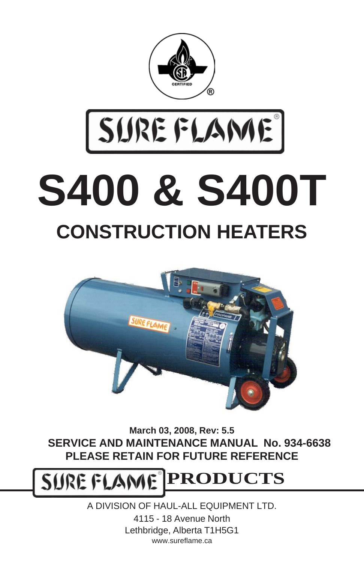

# SUREFLAME **S400 & S400T CONSTRUCTION HEATERS**



**March 03, 2008, Rev: 5.5 SERVICE AND MAINTENANCE MANUAL No. 934-6638 PLEASE RETAIN FOR FUTURE REFERENCE**

SURE FLAM **PRODUCTS**

> A DIVISION OF HAUL-ALL EQUIPMENT LTD. 4115 - 18 Avenue North Lethbridge, Alberta T1H5G1 www.sureflame.ca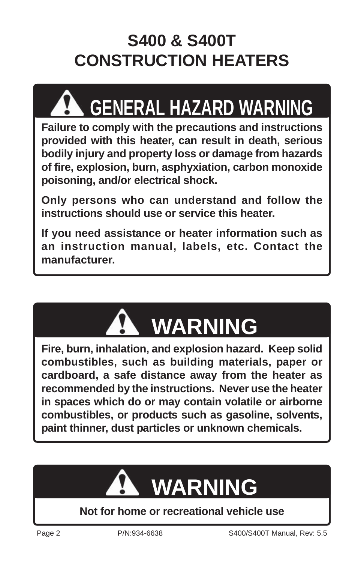## **S400 & S400T CONSTRUCTION HEATERS**

## **GENERAL HAZARD WARNING**

**Failure to comply with the precautions and instructions provided with this heater, can result in death, serious bodily injury and property loss or damage from hazards of fire, explosion, burn, asphyxiation, carbon monoxide poisoning, and/or electrical shock.**

**Only persons who can understand and follow the instructions should use or service this heater.**

**If you need assistance or heater information such as an instruction manual, labels, etc. Contact the manufacturer.**



**Fire, burn, inhalation, and explosion hazard. Keep solid combustibles, such as building materials, paper or cardboard, a safe distance away from the heater as recommended by the instructions. Never use the heater in spaces which do or may contain volatile or airborne combustibles, or products such as gasoline, solvents, paint thinner, dust particles or unknown chemicals.**



#### **Not for home or recreational vehicle use**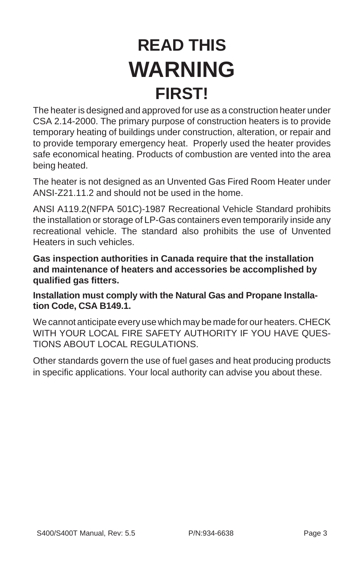## **READ THIS WARNING FIRST!**

The heater is designed and approved for use as a construction heater under CSA 2.14-2000. The primary purpose of construction heaters is to provide temporary heating of buildings under construction, alteration, or repair and to provide temporary emergency heat. Properly used the heater provides safe economical heating. Products of combustion are vented into the area being heated.

The heater is not designed as an Unvented Gas Fired Room Heater under ANSI-Z21.11.2 and should not be used in the home.

ANSI A119.2(NFPA 501C)-1987 Recreational Vehicle Standard prohibits the installation or storage of LP-Gas containers even temporarily inside any recreational vehicle. The standard also prohibits the use of Unvented Heaters in such vehicles.

**Gas inspection authorities in Canada require that the installation and maintenance of heaters and accessories be accomplished by qualified gas fitters.**

**Installation must comply with the Natural Gas and Propane Installation Code, CSA B149.1.**

We cannot anticipate every use which may be made for our heaters. CHECK WITH YOUR LOCAL FIRE SAFETY AUTHORITY IF YOU HAVE QUES-TIONS ABOUT LOCAL REGULATIONS.

Other standards govern the use of fuel gases and heat producing products in specific applications. Your local authority can advise you about these.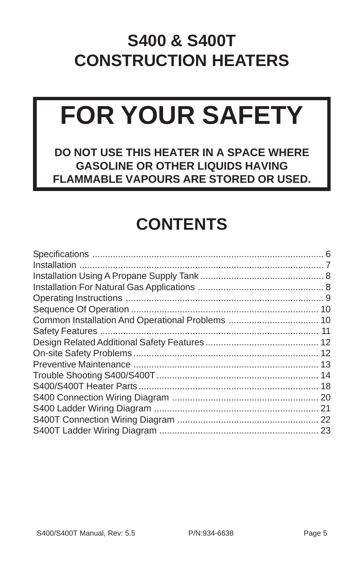#### **S400 & S400T CONSTRUCTION HEATERS**

## **FOR YOUR SAFETY**

**DO NOT USE THIS HEATER IN A SPACE WHERE GASOLINE OR OTHER LIQUIDS HAVING FLAMMABLE VAPOURS ARE STORED OR USED.**

### **CONTENTS**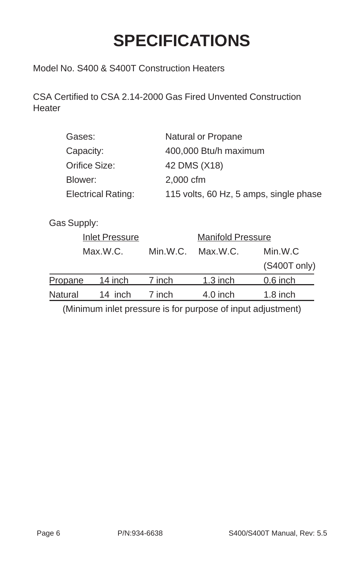### **SPECIFICATIONS**

<span id="page-5-0"></span>Model No. S400 & S400T Construction Heaters

CSA Certified to CSA 2.14-2000 Gas Fired Unvented Construction **Heater** 

| Gases:                    | Natural or Propane                     |
|---------------------------|----------------------------------------|
| Capacity:                 | 400,000 Btu/h maximum                  |
| Orifice Size:             | 42 DMS (X18)                           |
| Blower:                   | 2,000 cfm                              |
| <b>Electrical Rating:</b> | 115 volts, 60 Hz, 5 amps, single phase |
|                           |                                        |

Gas Supply:

|                | <b>Inlet Pressure</b> |          | <b>Manifold Pressure</b> |              |  |
|----------------|-----------------------|----------|--------------------------|--------------|--|
| Max.W.C.       |                       | Min.W.C. | Max.W.C.                 | Min.W.C      |  |
|                |                       |          |                          | (S400T only) |  |
| Propane        | 14 inch               | 7 inch   | $1.3$ inch               | $0.6$ inch   |  |
| <b>Natural</b> | 14 inch               | 7 inch   | $4.0$ inch               | $1.8$ inch   |  |

(Minimum inlet pressure is for purpose of input adjustment)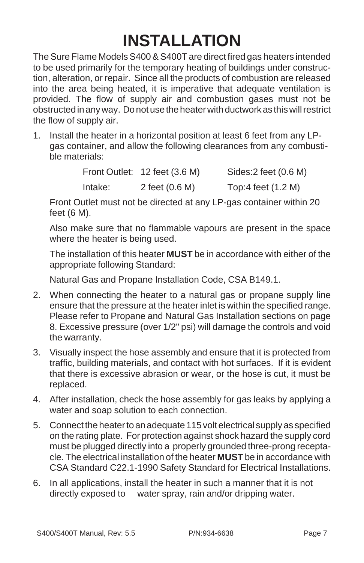## **INSTALLATION**

<span id="page-6-0"></span>The Sure Flame Models S400 & S400T are direct fired gas heaters intended to be used primarily for the temporary heating of buildings under construction, alteration, or repair. Since all the products of combustion are released into the area being heated, it is imperative that adequate ventilation is provided. The flow of supply air and combustion gases must not be obstructed in any way. Do not use the heater with ductwork as this will restrict the flow of supply air.

1. Install the heater in a horizontal position at least 6 feet from any LPgas container, and allow the following clearances from any combustible materials:

|         | Front Outlet: 12 feet (3.6 M) | Sides:2 feet (0.6 M) |
|---------|-------------------------------|----------------------|
| Intake: | 2 feet (0.6 M)                | Top:4 feet (1.2 M)   |

Front Outlet must not be directed at any LP-gas container within 20 feet (6 M).

Also make sure that no flammable vapours are present in the space where the heater is being used.

The installation of this heater **MUST** be in accordance with either of the appropriate following Standard:

Natural Gas and Propane Installation Code, CSA B149.1.

- 2. When connecting the heater to a natural gas or propane supply line ensure that the pressure at the heater inlet is within the specified range. Please refer to Propane and Natural Gas Installation sections on page 8. Excessive pressure (over 1/2" psi) will damage the controls and void the warranty.
- 3. Visually inspect the hose assembly and ensure that it is protected from traffic, building materials, and contact with hot surfaces. If it is evident that there is excessive abrasion or wear, or the hose is cut, it must be replaced.
- 4. After installation, check the hose assembly for gas leaks by applying a water and soap solution to each connection.
- 5. Connect the heater to an adequate 115 volt electrical supply as specified on the rating plate. For protection against shock hazard the supply cord must be plugged directly into a properly grounded three-prong receptacle. The electrical installation of the heater **MUST** be in accordance with CSA Standard C22.1-1990 Safety Standard for Electrical Installations.
- 6. In all applications, install the heater in such a manner that it is not directly exposed to water spray, rain and/or dripping water.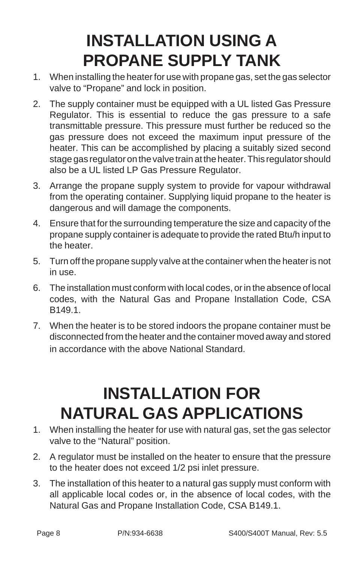### **INSTALLATION USING A PROPANE SUPPLY TANK**

- <span id="page-7-0"></span>1. When installing the heater for use with propane gas, set the gas selector valve to "Propane" and lock in position.
- 2. The supply container must be equipped with a UL listed Gas Pressure Regulator. This is essential to reduce the gas pressure to a safe transmittable pressure. This pressure must further be reduced so the gas pressure does not exceed the maximum input pressure of the heater. This can be accomplished by placing a suitably sized second stage gas regulator on the valve train at the heater. This regulator should also be a UL listed LP Gas Pressure Regulator.
- 3. Arrange the propane supply system to provide for vapour withdrawal from the operating container. Supplying liquid propane to the heater is dangerous and will damage the components.
- 4. Ensure that for the surrounding temperature the size and capacity of the propane supply container is adequate to provide the rated Btu/h input to the heater.
- 5. Turn off the propane supply valve at the container when the heater is not in use.
- 6. The installation must conform with local codes, or in the absence of local codes, with the Natural Gas and Propane Installation Code, CSA B149.1.
- 7. When the heater is to be stored indoors the propane container must be disconnected from the heater and the container moved away and stored in accordance with the above National Standard.

#### **INSTALLATION FOR NATURAL GAS APPLICATIONS**

- 1. When installing the heater for use with natural gas, set the gas selector valve to the "Natural" position.
- 2. A regulator must be installed on the heater to ensure that the pressure to the heater does not exceed 1/2 psi inlet pressure.
- 3. The installation of this heater to a natural gas supply must conform with all applicable local codes or, in the absence of local codes, with the Natural Gas and Propane Installation Code, CSA B149.1.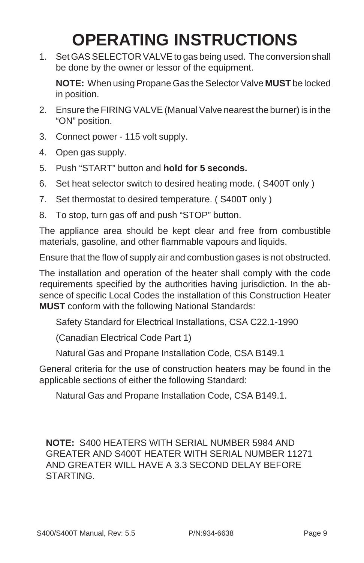### **OPERATING INSTRUCTIONS**

1. Set GAS SELECTOR VALVE to gas being used. The conversion shall be done by the owner or lessor of the equipment.

**NOTE:** When using Propane Gas the Selector Valve **MUST** be locked in position.

- 2. Ensure the FIRING VALVE (Manual Valve nearest the burner) is in the "ON" position.
- 3. Connect power 115 volt supply.
- 4. Open gas supply.
- 5. Push "START" button and **hold for 5 seconds.**
- 6. Set heat selector switch to desired heating mode. ( S400T only )
- 7. Set thermostat to desired temperature. ( S400T only )
- 8. To stop, turn gas off and push "STOP" button.

The appliance area should be kept clear and free from combustible materials, gasoline, and other flammable vapours and liquids.

Ensure that the flow of supply air and combustion gases is not obstructed.

The installation and operation of the heater shall comply with the code requirements specified by the authorities having jurisdiction. In the absence of specific Local Codes the installation of this Construction Heater **MUST** conform with the following National Standards:

Safety Standard for Electrical Installations, CSA C22.1-1990

(Canadian Electrical Code Part 1)

Natural Gas and Propane Installation Code, CSA B149.1

General criteria for the use of construction heaters may be found in the applicable sections of either the following Standard:

Natural Gas and Propane Installation Code, CSA B149.1.

**NOTE:** S400 HEATERS WITH SERIAL NUMBER 5984 AND GREATER AND S400T HEATER WITH SERIAL NUMBER 11271 AND GREATER WILL HAVE A 3.3 SECOND DELAY BEFORE **STARTING**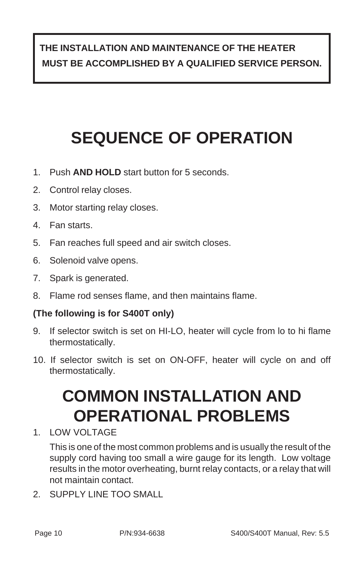#### **THE INSTALLATION AND MAINTENANCE OF THE HEATER MUST BE ACCOMPLISHED BY A QUALIFIED SERVICE PERSON.**

## **SEQUENCE OF OPERATION**

- 1. Push **AND HOLD** start button for 5 seconds.
- 2. Control relay closes.
- 3. Motor starting relay closes.
- 4. Fan starts.
- 5. Fan reaches full speed and air switch closes.
- 6. Solenoid valve opens.
- 7. Spark is generated.
- 8. Flame rod senses flame, and then maintains flame.

#### **(The following is for S400T only)**

- 9. If selector switch is set on HI-LO, heater will cycle from lo to hi flame thermostatically.
- 10. If selector switch is set on ON-OFF, heater will cycle on and off thermostatically.

#### **COMMON INSTALLATION AND OPERATIONAL PROBLEMS**

1. LOW VOLTAGE

This is one of the most common problems and is usually the result of the supply cord having too small a wire gauge for its length. Low voltage results in the motor overheating, burnt relay contacts, or a relay that will not maintain contact.

2. SUPPLY LINE TOO SMALL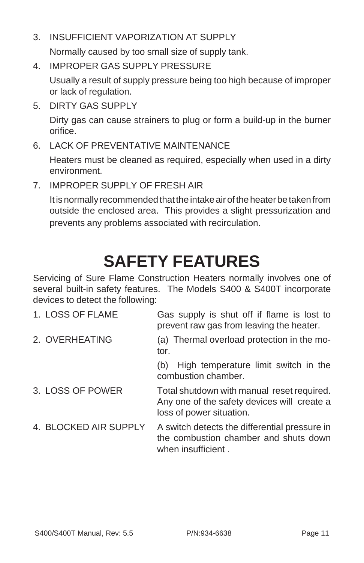3. INSUFFICIENT VAPORIZATION AT SUPPLY

Normally caused by too small size of supply tank.

4. IMPROPER GAS SUPPLY PRESSURE

Usually a result of supply pressure being too high because of improper or lack of regulation.

5. DIRTY GAS SUPPLY

Dirty gas can cause strainers to plug or form a build-up in the burner orifice.

6. LACK OF PREVENTATIVE MAINTENANCE

Heaters must be cleaned as required, especially when used in a dirty environment.

7. IMPROPER SUPPLY OF FRESH AIR

It is normally recommended that the intake air of the heater be taken from outside the enclosed area. This provides a slight pressurization and prevents any problems associated with recirculation.

#### **SAFETY FEATURES**

Servicing of Sure Flame Construction Heaters normally involves one of several built-in safety features. The Models S400 & S400T incorporate devices to detect the following:

| 1. LOSS OF FLAME      | Gas supply is shut off if flame is lost to<br>prevent raw gas from leaving the heater.                                |
|-----------------------|-----------------------------------------------------------------------------------------------------------------------|
| 2. OVERHEATING        | (a) Thermal overload protection in the mo-<br>tor.                                                                    |
|                       | High temperature limit switch in the<br>(b)<br>combustion chamber.                                                    |
| 3. LOSS OF POWER      | Total shutdown with manual reset required.<br>Any one of the safety devices will create a<br>loss of power situation. |
| 4. BLOCKED AIR SUPPLY | A switch detects the differential pressure in<br>the combustion chamber and shuts down<br>when insufficient.          |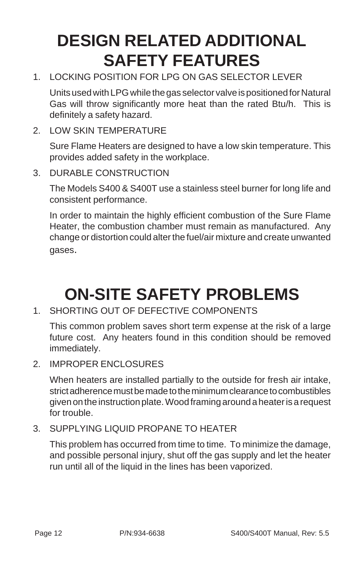#### **DESIGN RELATED ADDITIONAL SAFETY FEATURES**

1. LOCKING POSITION FOR LPG ON GAS SELECTOR LEVER

Units used with LPG while the gas selector valve is positioned for Natural Gas will throw significantly more heat than the rated Btu/h. This is definitely a safety hazard.

2. LOW SKIN TEMPERATURE

Sure Flame Heaters are designed to have a low skin temperature. This provides added safety in the workplace.

3. DURABLE CONSTRUCTION

The Models S400 & S400T use a stainless steel burner for long life and consistent performance.

In order to maintain the highly efficient combustion of the Sure Flame Heater, the combustion chamber must remain as manufactured. Any change or distortion could alter the fuel/air mixture and create unwanted gases.

#### **ON-SITE SAFETY PROBLEMS**

1. SHORTING OUT OF DEFECTIVE COMPONENTS

This common problem saves short term expense at the risk of a large future cost. Any heaters found in this condition should be removed immediately.

2 IMPROPER ENCLOSURES

When heaters are installed partially to the outside for fresh air intake, strict adherence must be made to the minimum clearance to combustibles given on the instruction plate. Wood framing around a heater is a request for trouble.

3. SUPPLYING LIQUID PROPANE TO HEATER

This problem has occurred from time to time. To minimize the damage, and possible personal injury, shut off the gas supply and let the heater run until all of the liquid in the lines has been vaporized.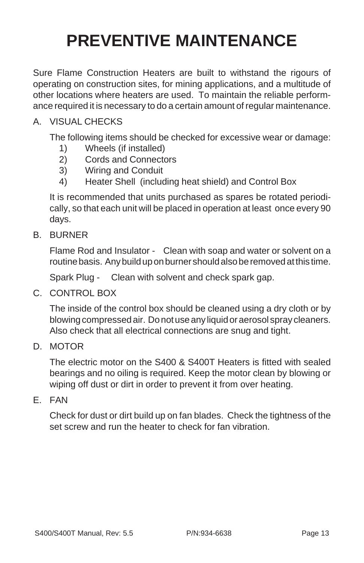### **PREVENTIVE MAINTENANCE**

Sure Flame Construction Heaters are built to withstand the rigours of operating on construction sites, for mining applications, and a multitude of other locations where heaters are used. To maintain the reliable performance required it is necessary to do a certain amount of regular maintenance.

#### A. VISUAL CHECKS

The following items should be checked for excessive wear or damage:

- 1) Wheels (if installed)
- 2) Cords and Connectors
- 3) Wiring and Conduit
- 4) Heater Shell (including heat shield) and Control Box

It is recommended that units purchased as spares be rotated periodically, so that each unit will be placed in operation at least once every 90 days.

B. BURNER

Flame Rod and Insulator - Clean with soap and water or solvent on a routine basis. Any build up on burner should also be removed at this time.

Spark Plug - Clean with solvent and check spark gap.

C. CONTROL BOX

The inside of the control box should be cleaned using a dry cloth or by blowing compressed air. Do not use any liquid or aerosol spray cleaners. Also check that all electrical connections are snug and tight.

D. MOTOR

The electric motor on the S400 & S400T Heaters is fitted with sealed bearings and no oiling is required. Keep the motor clean by blowing or wiping off dust or dirt in order to prevent it from over heating.

E. FAN

Check for dust or dirt build up on fan blades. Check the tightness of the set screw and run the heater to check for fan vibration.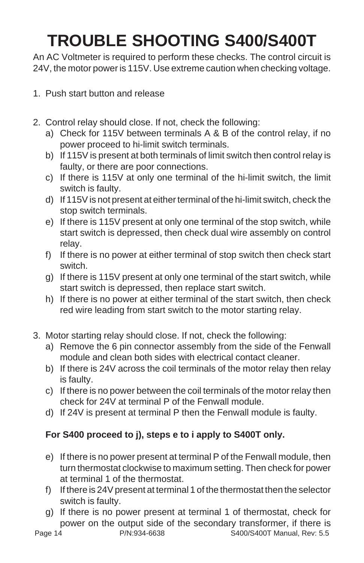## **TROUBLE SHOOTING S400/S400T**

An AC Voltmeter is required to perform these checks. The control circuit is 24V, the motor power is 115V. Use extreme caution when checking voltage.

- 1. Push start button and release
- 2. Control relay should close. If not, check the following:
	- a) Check for 115V between terminals A & B of the control relay, if no power proceed to hi-limit switch terminals.
	- b) If 115V is present at both terminals of limit switch then control relay is faulty, or there are poor connections.
	- c) If there is 115V at only one terminal of the hi-limit switch, the limit switch is faulty.
	- d) If 115V is not present at either terminal of the hi-limit switch, check the stop switch terminals.
	- e) If there is 115V present at only one terminal of the stop switch, while start switch is depressed, then check dual wire assembly on control relay.
	- f) If there is no power at either terminal of stop switch then check start switch.
	- g) If there is 115V present at only one terminal of the start switch, while start switch is depressed, then replace start switch.
	- h) If there is no power at either terminal of the start switch, then check red wire leading from start switch to the motor starting relay.
- 3. Motor starting relay should close. If not, check the following:
	- a) Remove the 6 pin connector assembly from the side of the Fenwall module and clean both sides with electrical contact cleaner.
	- b) If there is 24V across the coil terminals of the motor relay then relay is faulty.
	- c) If there is no power between the coil terminals of the motor relay then check for 24V at terminal P of the Fenwall module.
	- d) If 24V is present at terminal P then the Fenwall module is faulty.

#### **For S400 proceed to j), steps e to i apply to S400T only.**

- e) If there is no power present at terminal P of the Fenwall module, then turn thermostat clockwise to maximum setting. Then check for power at terminal 1 of the thermostat.
- f) If there is 24V present at terminal 1 of the thermostat then the selector switch is faulty.
- g) If there is no power present at terminal 1 of thermostat, check for power on the output side of the secondary transformer, if there is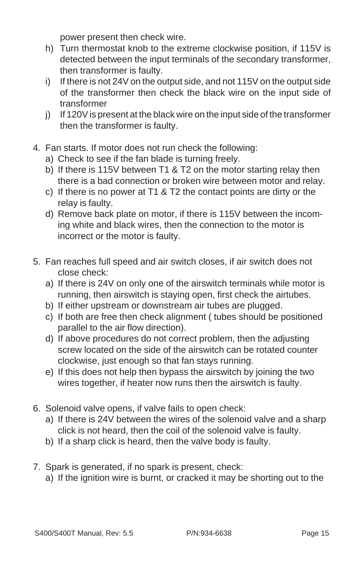power present then check wire.

- h) Turn thermostat knob to the extreme clockwise position, if 115V is detected between the input terminals of the secondary transformer, then transformer is faulty.
- i) If there is not 24V on the output side, and not 115V on the output side of the transformer then check the black wire on the input side of transformer
- j) If 120V is present at the black wire on the input side of the transformer then the transformer is faulty.
- 4. Fan starts. If motor does not run check the following:
	- a) Check to see if the fan blade is turning freely.
	- b) If there is 115V between T1 & T2 on the motor starting relay then there is a bad connection or broken wire between motor and relay.
	- c) If there is no power at T1 & T2 the contact points are dirty or the relay is faulty.
	- d) Remove back plate on motor, if there is 115V between the incoming white and black wires, then the connection to the motor is incorrect or the motor is faulty.
- 5. Fan reaches full speed and air switch closes, if air switch does not close check:
	- a) If there is 24V on only one of the airswitch terminals while motor is running, then airswitch is staying open, first check the airtubes.
	- b) If either upstream or downstream air tubes are plugged.
	- c) If both are free then check alignment ( tubes should be positioned parallel to the air flow direction).
	- d) If above procedures do not correct problem, then the adjusting screw located on the side of the airswitch can be rotated counter clockwise, just enough so that fan stays running.
	- e) If this does not help then bypass the airswitch by joining the two wires together, if heater now runs then the airswitch is faulty.
- 6. Solenoid valve opens, if valve fails to open check:
	- a) If there is 24V between the wires of the solenoid valve and a sharp click is not heard, then the coil of the solenoid valve is faulty.
	- b) If a sharp click is heard, then the valve body is faulty.
- 7. Spark is generated, if no spark is present, check:
	- a) If the ignition wire is burnt, or cracked it may be shorting out to the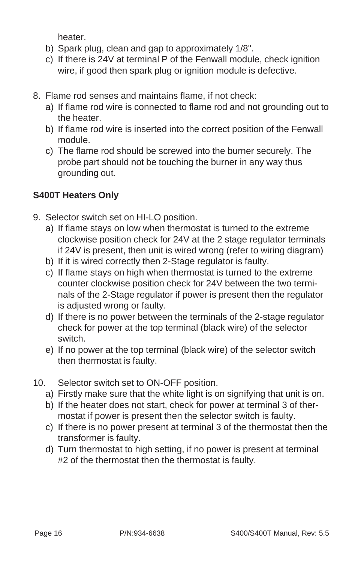heater.

- b) Spark plug, clean and gap to approximately 1/8".
- c) If there is 24V at terminal P of the Fenwall module, check ignition wire, if good then spark plug or ignition module is defective.
- 8. Flame rod senses and maintains flame, if not check:
	- a) If flame rod wire is connected to flame rod and not grounding out to the heater.
	- b) If flame rod wire is inserted into the correct position of the Fenwall module.
	- c) The flame rod should be screwed into the burner securely. The probe part should not be touching the burner in any way thus grounding out.

#### **S400T Heaters Only**

- 9. Selector switch set on HI-LO position.
	- a) If flame stays on low when thermostat is turned to the extreme clockwise position check for 24V at the 2 stage regulator terminals if 24V is present, then unit is wired wrong (refer to wiring diagram)
	- b) If it is wired correctly then 2-Stage regulator is faulty.
	- c) If flame stays on high when thermostat is turned to the extreme counter clockwise position check for 24V between the two terminals of the 2-Stage regulator if power is present then the regulator is adjusted wrong or faulty.
	- d) If there is no power between the terminals of the 2-stage regulator check for power at the top terminal (black wire) of the selector switch.
	- e) If no power at the top terminal (black wire) of the selector switch then thermostat is faulty.
- 10. Selector switch set to ON-OFF position.
	- a) Firstly make sure that the white light is on signifying that unit is on.
	- b) If the heater does not start, check for power at terminal 3 of thermostat if power is present then the selector switch is faulty.
	- c) If there is no power present at terminal 3 of the thermostat then the transformer is faulty.
	- d) Turn thermostat to high setting, if no power is present at terminal #2 of the thermostat then the thermostat is faulty.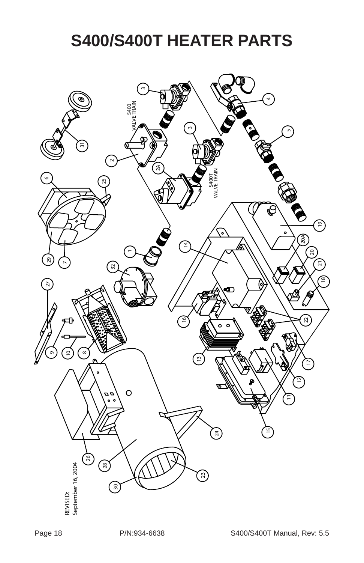#### **S400/S400T HEATER PARTS**

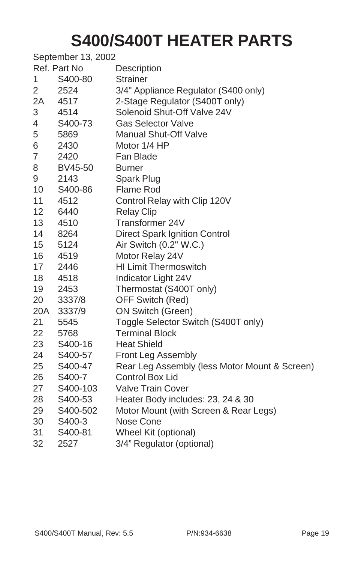#### **S400/S400T HEATER PARTS**

|     | September 13, 2002 |                                               |
|-----|--------------------|-----------------------------------------------|
|     | Ref. Part No       | Description                                   |
| 1   | S400-80            | <b>Strainer</b>                               |
| 2   | 2524               | 3/4" Appliance Regulator (S400 only)          |
| 2A  | 4517               | 2-Stage Regulator (S400T only)                |
| 3   | 4514               | Solenoid Shut-Off Valve 24V                   |
| 4   | S400-73            | <b>Gas Selector Valve</b>                     |
| 5   | 5869               | <b>Manual Shut-Off Valve</b>                  |
| 6   | 2430               | Motor 1/4 HP                                  |
| 7   | 2420               | Fan Blade                                     |
| 8   | BV45-50            | <b>Burner</b>                                 |
| 9   | 2143               | Spark Plug                                    |
| 10  | S400-86            | Flame Rod                                     |
| 11  | 4512               | Control Relay with Clip 120V                  |
| 12  | 6440               | <b>Relay Clip</b>                             |
| 13  | 4510               | Transformer 24V                               |
| 14  | 8264               | <b>Direct Spark Ignition Control</b>          |
| 15  | 5124               | Air Switch (0.2" W.C.)                        |
| 16  | 4519               | Motor Relay 24V                               |
| 17  | 2446               | <b>HI Limit Thermoswitch</b>                  |
| 18  | 4518               | Indicator Light 24V                           |
| 19  | 2453               | Thermostat (S400T only)                       |
| 20  | 3337/8             | OFF Switch (Red)                              |
| 20A | 3337/9             | <b>ON Switch (Green)</b>                      |
| 21  | 5545               | Toggle Selector Switch (S400T only)           |
| 22  | 5768               | <b>Terminal Block</b>                         |
| 23  | S400-16            | <b>Heat Shield</b>                            |
| 24  | S400-57            | Front Leg Assembly                            |
| 25  | S400-47            | Rear Leg Assembly (less Motor Mount & Screen) |
| 26  | S400-7             | <b>Control Box Lid</b>                        |
| 27  | S400-103           | <b>Valve Train Cover</b>                      |
| 28  | S400-53            | Heater Body includes: 23, 24 & 30             |
| 29  | S400-502           | Motor Mount (with Screen & Rear Legs)         |
| 30  | S400-3             | Nose Cone                                     |
| 31  | S400-81            | Wheel Kit (optional)                          |
| 32  | 2527               | 3/4" Regulator (optional)                     |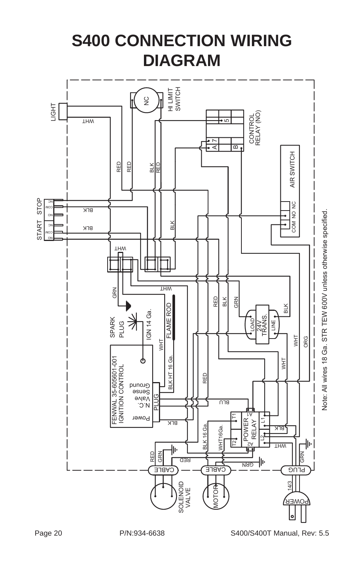#### **S400 CONNECTION WIRING DIAGRAM**

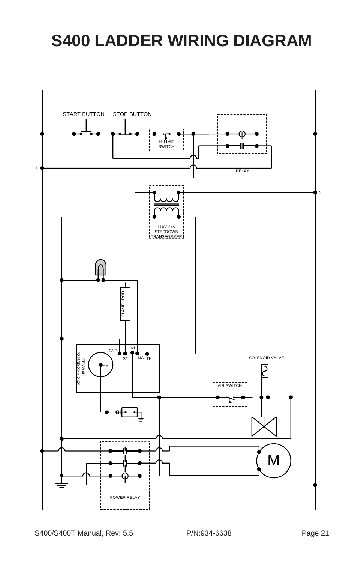#### <span id="page-20-0"></span>**S400 LADDER WIRING DIAGRAM**

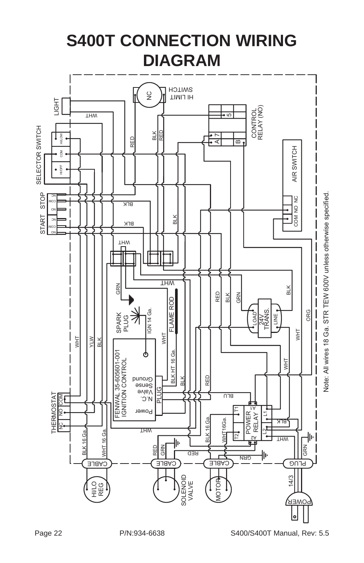<span id="page-21-0"></span>